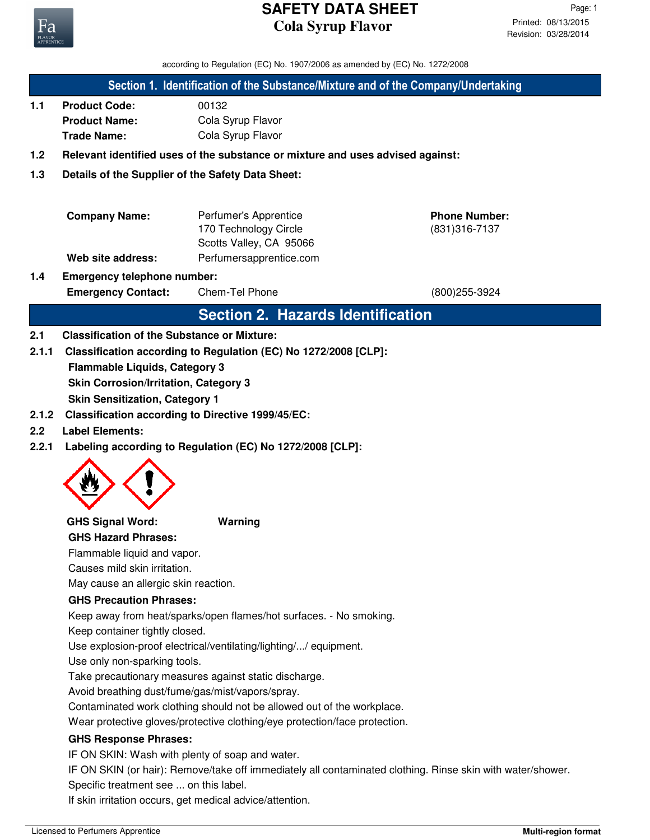

according to Regulation (EC) No. 1907/2006 as amended by (EC) No. 1272/2008

#### **Section 1. Identification of the Substance/Mixture and of the Company/Undertaking**

**1.1 Product Code:** 00132 **Product Name:** Cola Syrup Flavor **Trade Name:** Cola Syrup Flavor

## **1.2 Relevant identified uses of the substance or mixture and uses advised against:**

## **1.3 Details of the Supplier of the Safety Data Sheet:**

| <b>Company Name:</b> | Perfumer's Apprentice   |
|----------------------|-------------------------|
|                      | 170 Technology Circle   |
|                      | Scotts Valley, CA 95066 |
| Web site address:    | Perfumersapprentice.com |

(831)316-7137 **Phone Number:**

## **1.4 Emergency telephone number:**

Emergency Contact: Chem-Tel Phone (800)255-3924

## **Section 2. Hazards Identification**

#### **2.1 Classification of the Substance or Mixture:**

**2.1.1 Classification according to Regulation (EC) No 1272/2008 [CLP]:**

**Flammable Liquids, Category 3**

**Skin Corrosion/Irritation, Category 3**

**Skin Sensitization, Category 1**

- **2.1.2 Classification according to Directive 1999/45/EC:**
- **2.2 Label Elements:**
- **2.2.1 Labeling according to Regulation (EC) No 1272/2008 [CLP]:**



#### **GHS Signal Word: Warning**

**GHS Hazard Phrases:**

Flammable liquid and vapor.

Causes mild skin irritation.

May cause an allergic skin reaction.

#### **GHS Precaution Phrases:**

Keep away from heat/sparks/open flames/hot surfaces. - No smoking.

Keep container tightly closed.

Use explosion-proof electrical/ventilating/lighting/.../ equipment.

Use only non-sparking tools.

Take precautionary measures against static discharge.

Avoid breathing dust/fume/gas/mist/vapors/spray.

Contaminated work clothing should not be allowed out of the workplace.

Wear protective gloves/protective clothing/eye protection/face protection.

#### **GHS Response Phrases:**

IF ON SKIN: Wash with plenty of soap and water.

IF ON SKIN (or hair): Remove/take off immediately all contaminated clothing. Rinse skin with water/shower. Specific treatment see ... on this label.

If skin irritation occurs, get medical advice/attention.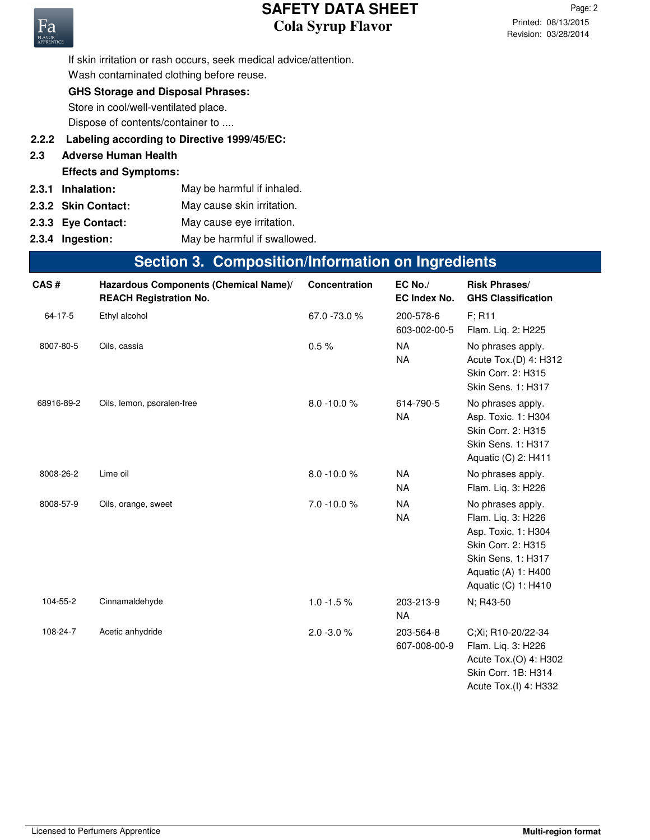Revision: 03/28/2014 Printed: 08/13/2015 Page: 2



If skin irritation or rash occurs, seek medical advice/attention. Wash contaminated clothing before reuse.

## **GHS Storage and Disposal Phrases:**

Store in cool/well-ventilated place.

Dispose of contents/container to ....

- **2.2.2 Labeling according to Directive 1999/45/EC:**
- **2.3 Adverse Human Health**
- **Effects and Symptoms:**
- **2.3.1** May be harmful if inhaled.
- **2.3.2** May cause skin irritation.
- **2.3.3** May cause eye irritation.
- **2.3.4 Ingestion:** May be harmful if swallowed.

## **Section 3. Composition/Information on Ingredients**

| CAS#          | Hazardous Components (Chemical Name)/<br><b>REACH Registration No.</b> | <b>Concentration</b> | $EC$ No./<br><b>EC Index No.</b> | <b>Risk Phrases/</b><br><b>GHS Classification</b>                                                                                                        |
|---------------|------------------------------------------------------------------------|----------------------|----------------------------------|----------------------------------------------------------------------------------------------------------------------------------------------------------|
| $64 - 17 - 5$ | Ethyl alcohol                                                          | 67.0 -73.0 %         | 200-578-6<br>603-002-00-5        | F; R11<br>Flam. Liq. 2: H225                                                                                                                             |
| 8007-80-5     | Oils, cassia                                                           | $0.5\,\%$            | <b>NA</b><br><b>NA</b>           | No phrases apply.<br>Acute Tox.(D) 4: H312<br>Skin Corr. 2: H315<br><b>Skin Sens. 1: H317</b>                                                            |
| 68916-89-2    | Oils, lemon, psoralen-free                                             | $8.0 - 10.0 %$       | 614-790-5<br><b>NA</b>           | No phrases apply.<br>Asp. Toxic. 1: H304<br>Skin Corr. 2: H315<br>Skin Sens. 1: H317<br>Aquatic (C) 2: H411                                              |
| 8008-26-2     | Lime oil                                                               | $8.0 - 10.0 %$       | <b>NA</b><br><b>NA</b>           | No phrases apply.<br>Flam. Liq. 3: H226                                                                                                                  |
| 8008-57-9     | Oils, orange, sweet                                                    | $7.0 - 10.0 %$       | <b>NA</b><br><b>NA</b>           | No phrases apply.<br>Flam. Liq. 3: H226<br>Asp. Toxic. 1: H304<br>Skin Corr. 2: H315<br>Skin Sens. 1: H317<br>Aquatic (A) 1: H400<br>Aquatic (C) 1: H410 |
| 104-55-2      | Cinnamaldehyde                                                         | $1.0 - 1.5 \%$       | 203-213-9<br><b>NA</b>           | N; R43-50                                                                                                                                                |
| 108-24-7      | Acetic anhydride                                                       | $2.0 - 3.0 %$        | 203-564-8<br>607-008-00-9        | C;Xi; R10-20/22-34<br>Flam. Liq. 3: H226<br>Acute Tox.(O) 4: H302<br>Skin Corr. 1B: H314<br>Acute Tox.(I) 4: H332                                        |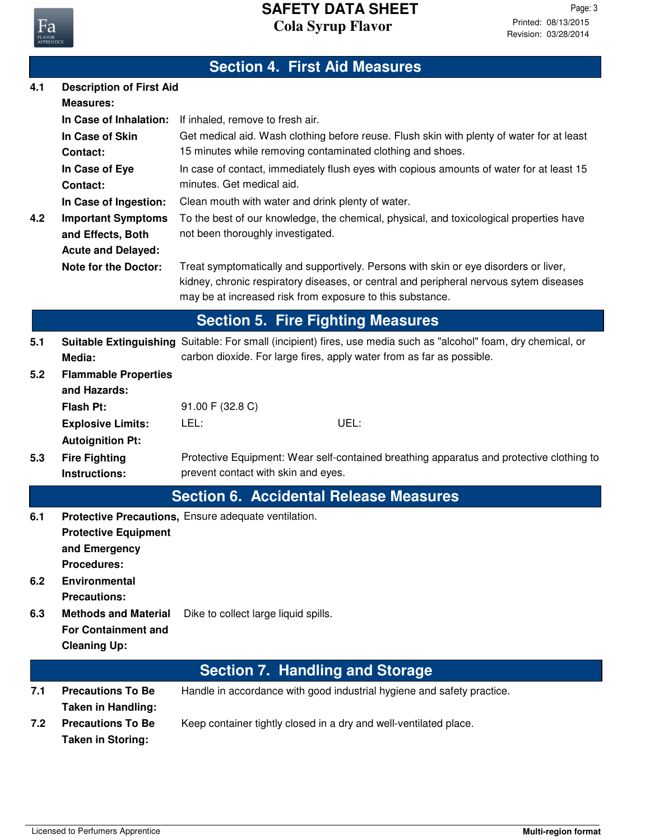

## **Section 4. First Aid Measures**

| 4.1 | <b>Description of First Aid</b><br><b>Measures:</b>      |                                                                                                                                                                                                                                             |
|-----|----------------------------------------------------------|---------------------------------------------------------------------------------------------------------------------------------------------------------------------------------------------------------------------------------------------|
|     | In Case of Inhalation:                                   | If inhaled, remove to fresh air.                                                                                                                                                                                                            |
|     | In Case of Skin<br><b>Contact:</b>                       | Get medical aid. Wash clothing before reuse. Flush skin with plenty of water for at least<br>15 minutes while removing contaminated clothing and shoes.                                                                                     |
|     | In Case of Eye<br>Contact:                               | In case of contact, immediately flush eyes with copious amounts of water for at least 15<br>minutes. Get medical aid.                                                                                                                       |
|     | In Case of Ingestion:                                    | Clean mouth with water and drink plenty of water.                                                                                                                                                                                           |
| 4.2 | <b>Important Symptoms</b><br>and Effects, Both           | To the best of our knowledge, the chemical, physical, and toxicological properties have<br>not been thoroughly investigated.                                                                                                                |
|     | <b>Acute and Delayed:</b><br><b>Note for the Doctor:</b> | Treat symptomatically and supportively. Persons with skin or eye disorders or liver,<br>kidney, chronic respiratory diseases, or central and peripheral nervous sytem diseases<br>may be at increased risk from exposure to this substance. |
|     |                                                          | <b>Section 5. Fire Fighting Measures</b>                                                                                                                                                                                                    |
| 5.1 | Media:                                                   | Suitable Extinguishing Suitable: For small (incipient) fires, use media such as "alcohol" foam, dry chemical, or<br>carbon dioxide. For large fires, apply water from as far as possible.                                                   |
| 5.2 | <b>Flammable Properties</b><br>and Hazards:              |                                                                                                                                                                                                                                             |
|     | <b>Flash Pt:</b>                                         | 91.00 F (32.8 C)                                                                                                                                                                                                                            |
|     | <b>Explosive Limits:</b>                                 | LEL:<br>UEL:                                                                                                                                                                                                                                |
|     | <b>Autoignition Pt:</b>                                  |                                                                                                                                                                                                                                             |
| 5.3 | <b>Fire Fighting</b>                                     | Protective Equipment: Wear self-contained breathing apparatus and protective clothing to                                                                                                                                                    |
|     | <b>Instructions:</b>                                     | prevent contact with skin and eyes.                                                                                                                                                                                                         |
|     |                                                          | <b>Section 6. Accidental Release Measures</b>                                                                                                                                                                                               |
| 6.1 | <b>Protective Equipment</b>                              | Protective Precautions, Ensure adequate ventilation.                                                                                                                                                                                        |
|     | and Emergency<br><b>Procedures:</b>                      |                                                                                                                                                                                                                                             |
| 6.2 | <b>Environmental</b>                                     |                                                                                                                                                                                                                                             |
|     | <b>Precautions:</b>                                      |                                                                                                                                                                                                                                             |
| 6.3 | <b>Methods and Material</b>                              | Dike to collect large liquid spills.                                                                                                                                                                                                        |
|     | <b>For Containment and</b>                               |                                                                                                                                                                                                                                             |
|     | <b>Cleaning Up:</b>                                      |                                                                                                                                                                                                                                             |
|     |                                                          | <b>Section 7. Handling and Storage</b>                                                                                                                                                                                                      |
| 7.1 | <b>Precautions To Be</b><br><b>Taken in Handling:</b>    | Handle in accordance with good industrial hygiene and safety practice.                                                                                                                                                                      |
| 7.2 | <b>Precautions To Be</b>                                 | Keep container tightly closed in a dry and well-ventilated place.                                                                                                                                                                           |

**Taken in Storing:**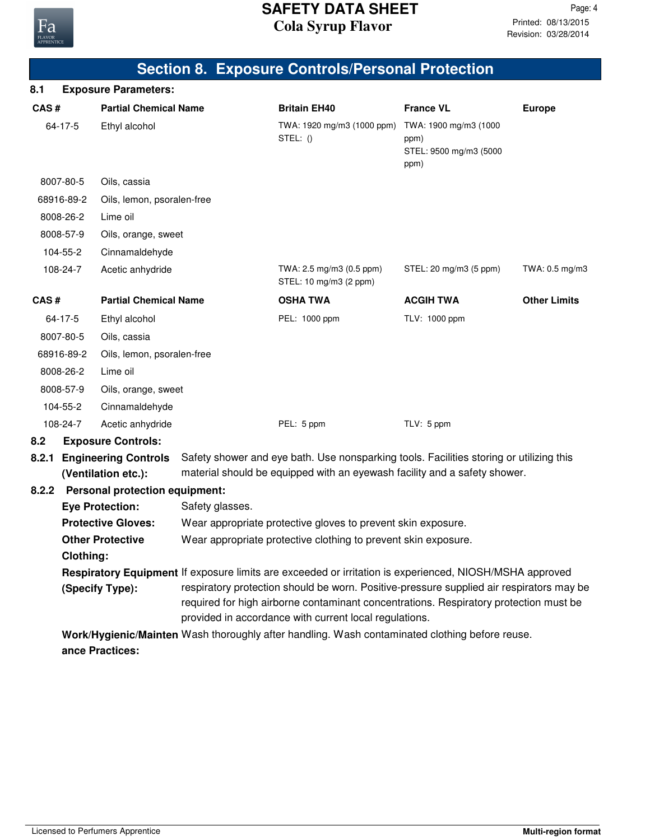

|       |                  |                                                    |                 | <b>Section 8. Exposure Controls/Personal Protection</b>                                                                                                                                                                                     |                                                                 |                     |
|-------|------------------|----------------------------------------------------|-----------------|---------------------------------------------------------------------------------------------------------------------------------------------------------------------------------------------------------------------------------------------|-----------------------------------------------------------------|---------------------|
| 8.1   |                  | <b>Exposure Parameters:</b>                        |                 |                                                                                                                                                                                                                                             |                                                                 |                     |
| CAS#  |                  | <b>Partial Chemical Name</b>                       |                 | <b>Britain EH40</b>                                                                                                                                                                                                                         | <b>France VL</b>                                                | <b>Europe</b>       |
|       | $64 - 17 - 5$    | Ethyl alcohol                                      |                 | TWA: 1920 mg/m3 (1000 ppm)<br>STEL: $()$                                                                                                                                                                                                    | TWA: 1900 mg/m3 (1000<br>ppm)<br>STEL: 9500 mg/m3 (5000<br>ppm) |                     |
|       | 8007-80-5        | Oils, cassia                                       |                 |                                                                                                                                                                                                                                             |                                                                 |                     |
|       | 68916-89-2       | Oils, lemon, psoralen-free                         |                 |                                                                                                                                                                                                                                             |                                                                 |                     |
|       | 8008-26-2        | Lime oil                                           |                 |                                                                                                                                                                                                                                             |                                                                 |                     |
|       | 8008-57-9        | Oils, orange, sweet                                |                 |                                                                                                                                                                                                                                             |                                                                 |                     |
|       | 104-55-2         | Cinnamaldehyde                                     |                 |                                                                                                                                                                                                                                             |                                                                 |                     |
|       | 108-24-7         | Acetic anhydride                                   |                 | TWA: 2.5 mg/m3 (0.5 ppm)<br>STEL: 10 mg/m3 (2 ppm)                                                                                                                                                                                          | STEL: 20 mg/m3 (5 ppm)                                          | TWA: 0.5 mg/m3      |
| CAS#  |                  | <b>Partial Chemical Name</b>                       |                 | <b>OSHA TWA</b>                                                                                                                                                                                                                             | <b>ACGIH TWA</b>                                                | <b>Other Limits</b> |
|       | 64-17-5          | Ethyl alcohol                                      |                 | PEL: 1000 ppm                                                                                                                                                                                                                               | TLV: 1000 ppm                                                   |                     |
|       | 8007-80-5        | Oils, cassia                                       |                 |                                                                                                                                                                                                                                             |                                                                 |                     |
|       | 68916-89-2       | Oils, lemon, psoralen-free                         |                 |                                                                                                                                                                                                                                             |                                                                 |                     |
|       | 8008-26-2        | Lime oil                                           |                 |                                                                                                                                                                                                                                             |                                                                 |                     |
|       | 8008-57-9        | Oils, orange, sweet                                |                 |                                                                                                                                                                                                                                             |                                                                 |                     |
|       | 104-55-2         | Cinnamaldehyde                                     |                 |                                                                                                                                                                                                                                             |                                                                 |                     |
|       | 108-24-7         | Acetic anhydride                                   |                 | PEL: 5 ppm                                                                                                                                                                                                                                  | TLV: 5 ppm                                                      |                     |
| 8.2   |                  | <b>Exposure Controls:</b>                          |                 |                                                                                                                                                                                                                                             |                                                                 |                     |
| 8.2.1 |                  | <b>Engineering Controls</b><br>(Ventilation etc.): |                 | Safety shower and eye bath. Use nonsparking tools. Facilities storing or utilizing this<br>material should be equipped with an eyewash facility and a safety shower.                                                                        |                                                                 |                     |
|       |                  | 8.2.2 Personal protection equipment:               |                 |                                                                                                                                                                                                                                             |                                                                 |                     |
|       |                  | <b>Eye Protection:</b>                             | Safety glasses. |                                                                                                                                                                                                                                             |                                                                 |                     |
|       |                  | <b>Protective Gloves:</b>                          |                 | Wear appropriate protective gloves to prevent skin exposure.                                                                                                                                                                                |                                                                 |                     |
|       | <b>Clothing:</b> | <b>Other Protective</b>                            |                 | Wear appropriate protective clothing to prevent skin exposure.                                                                                                                                                                              |                                                                 |                     |
|       |                  |                                                    |                 | Respiratory Equipment If exposure limits are exceeded or irritation is experienced, NIOSH/MSHA approved                                                                                                                                     |                                                                 |                     |
|       |                  | (Specify Type):                                    |                 | respiratory protection should be worn. Positive-pressure supplied air respirators may be<br>required for high airborne contaminant concentrations. Respiratory protection must be<br>provided in accordance with current local regulations. |                                                                 |                     |
|       |                  |                                                    |                 | Work/Hygienic/Mainten Wash thoroughly after handling. Wash contaminated clothing before reuse.                                                                                                                                              |                                                                 |                     |
|       |                  | ance Practices:                                    |                 |                                                                                                                                                                                                                                             |                                                                 |                     |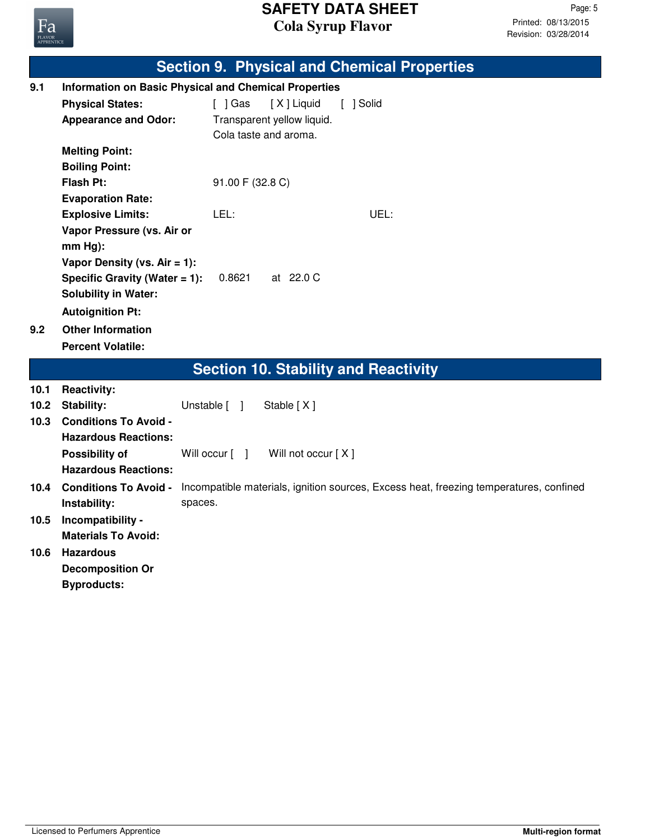

|      |                                  | <b>Section 9. Physical and Chemical Properties</b>                                     |
|------|----------------------------------|----------------------------------------------------------------------------------------|
| 9.1  |                                  | <b>Information on Basic Physical and Chemical Properties</b>                           |
|      | <b>Physical States:</b>          | $\lceil$ $\rfloor$ Gas<br>[X] Liquid<br>[ ] Solid                                      |
|      | <b>Appearance and Odor:</b>      | Transparent yellow liquid.                                                             |
|      |                                  | Cola taste and aroma.                                                                  |
|      | <b>Melting Point:</b>            |                                                                                        |
|      | <b>Boiling Point:</b>            |                                                                                        |
|      | <b>Flash Pt:</b>                 | 91.00 F (32.8 C)                                                                       |
|      | <b>Evaporation Rate:</b>         |                                                                                        |
|      | <b>Explosive Limits:</b>         | UEL:<br>LEL:                                                                           |
|      | Vapor Pressure (vs. Air or       |                                                                                        |
|      | $mm Hg$ :                        |                                                                                        |
|      | Vapor Density (vs. Air = 1):     |                                                                                        |
|      | Specific Gravity (Water $= 1$ ): | 0.8621<br>at 22.0 C                                                                    |
|      | <b>Solubility in Water:</b>      |                                                                                        |
|      | <b>Autoignition Pt:</b>          |                                                                                        |
| 9.2  | <b>Other Information</b>         |                                                                                        |
|      | <b>Percent Volatile:</b>         |                                                                                        |
|      |                                  | <b>Section 10. Stability and Reactivity</b>                                            |
| 10.1 | <b>Reactivity:</b>               |                                                                                        |
| 10.2 | <b>Stability:</b>                | Stable [X]<br>Unstable [ ]                                                             |
| 10.3 | <b>Conditions To Avoid -</b>     |                                                                                        |
|      | <b>Hazardous Reactions:</b>      |                                                                                        |
|      | Possibility of                   | Will not occur [X]<br>Will occur [ ]                                                   |
|      | <b>Hazardous Reactions:</b>      |                                                                                        |
| 10.4 | <b>Conditions To Avoid -</b>     | Incompatible materials, ignition sources, Excess heat, freezing temperatures, confined |
|      | Instability:                     | spaces.                                                                                |
| 10.5 | Incompatibility -                |                                                                                        |
|      | <b>Materials To Avoid:</b>       |                                                                                        |
| 10.6 | <b>Hazardous</b>                 |                                                                                        |
|      | <b>Decomposition Or</b>          |                                                                                        |
|      | <b>Byproducts:</b>               |                                                                                        |
|      |                                  |                                                                                        |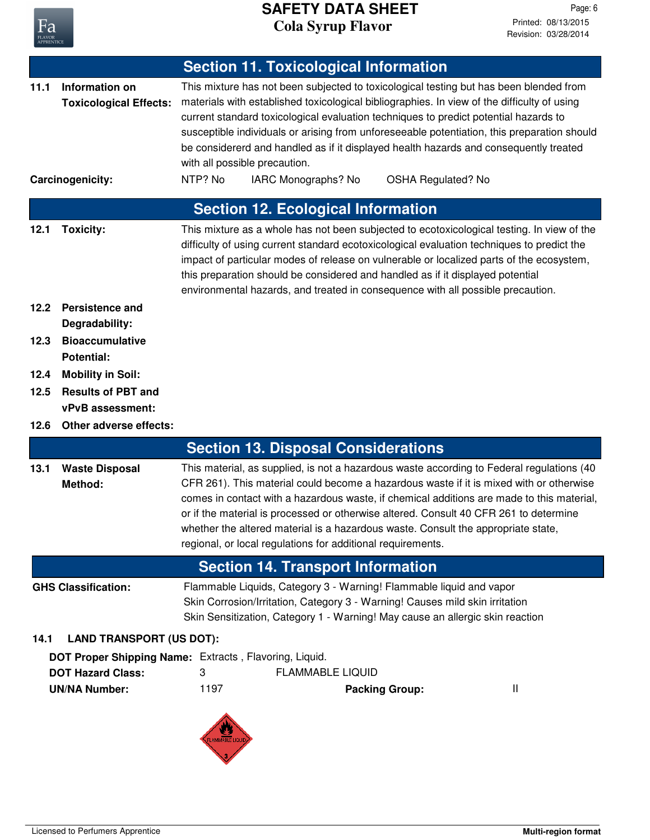

Revision: 03/28/2014 Printed: 08/13/2015 Page: 6

|      |                                                                     | <b>Section 11. Toxicological Information</b>                                                                                                                                                                                                                                                                                                                                                                                                                                                                                                                          |
|------|---------------------------------------------------------------------|-----------------------------------------------------------------------------------------------------------------------------------------------------------------------------------------------------------------------------------------------------------------------------------------------------------------------------------------------------------------------------------------------------------------------------------------------------------------------------------------------------------------------------------------------------------------------|
| 11.1 | Information on<br><b>Toxicological Effects:</b><br>Carcinogenicity: | This mixture has not been subjected to toxicological testing but has been blended from<br>materials with established toxicological bibliographies. In view of the difficulty of using<br>current standard toxicological evaluation techniques to predict potential hazards to<br>susceptible individuals or arising from unforeseeable potentiation, this preparation should<br>be considererd and handled as if it displayed health hazards and consequently treated<br>with all possible precaution.<br>NTP? No<br>IARC Monographs? No<br><b>OSHA Regulated? No</b> |
|      |                                                                     |                                                                                                                                                                                                                                                                                                                                                                                                                                                                                                                                                                       |
|      |                                                                     | <b>Section 12. Ecological Information</b>                                                                                                                                                                                                                                                                                                                                                                                                                                                                                                                             |
| 12.1 | <b>Toxicity:</b>                                                    | This mixture as a whole has not been subjected to ecotoxicological testing. In view of the<br>difficulty of using current standard ecotoxicological evaluation techniques to predict the<br>impact of particular modes of release on vulnerable or localized parts of the ecosystem,<br>this preparation should be considered and handled as if it displayed potential<br>environmental hazards, and treated in consequence with all possible precaution.                                                                                                             |
| 12.2 | <b>Persistence and</b><br>Degradability:                            |                                                                                                                                                                                                                                                                                                                                                                                                                                                                                                                                                                       |
| 12.3 | <b>Bioaccumulative</b>                                              |                                                                                                                                                                                                                                                                                                                                                                                                                                                                                                                                                                       |
|      | <b>Potential:</b>                                                   |                                                                                                                                                                                                                                                                                                                                                                                                                                                                                                                                                                       |
| 12.4 | <b>Mobility in Soil:</b>                                            |                                                                                                                                                                                                                                                                                                                                                                                                                                                                                                                                                                       |
| 12.5 | <b>Results of PBT and</b>                                           |                                                                                                                                                                                                                                                                                                                                                                                                                                                                                                                                                                       |
| 12.6 | vPvB assessment:<br>Other adverse effects:                          |                                                                                                                                                                                                                                                                                                                                                                                                                                                                                                                                                                       |
|      |                                                                     | <b>Section 13. Disposal Considerations</b>                                                                                                                                                                                                                                                                                                                                                                                                                                                                                                                            |
| 13.1 | <b>Waste Disposal</b><br>Method:                                    | This material, as supplied, is not a hazardous waste according to Federal regulations (40<br>CFR 261). This material could become a hazardous waste if it is mixed with or otherwise<br>comes in contact with a hazardous waste, if chemical additions are made to this material,<br>or if the material is processed or otherwise altered. Consult 40 CFR 261 to determine<br>whether the altered material is a hazardous waste. Consult the appropriate state,<br>regional, or local regulations for additional requirements.                                        |
|      |                                                                     | <b>Section 14. Transport Information</b>                                                                                                                                                                                                                                                                                                                                                                                                                                                                                                                              |
|      | <b>GHS Classification:</b>                                          | Flammable Liquids, Category 3 - Warning! Flammable liquid and vapor<br>Skin Corrosion/Irritation, Category 3 - Warning! Causes mild skin irritation<br>Skin Sensitization, Category 1 - Warning! May cause an allergic skin reaction                                                                                                                                                                                                                                                                                                                                  |
| 14.1 | <b>LAND TRANSPORT (US DOT):</b>                                     |                                                                                                                                                                                                                                                                                                                                                                                                                                                                                                                                                                       |
|      |                                                                     | DOT Proper Shipping Name: Extracts, Flavoring, Liquid.                                                                                                                                                                                                                                                                                                                                                                                                                                                                                                                |
|      | <b>DOT Hazard Class:</b><br><b>UN/NA Number:</b>                    | <b>FLAMMABLE LIQUID</b><br>3<br>1197<br>Ш<br><b>Packing Group:</b>                                                                                                                                                                                                                                                                                                                                                                                                                                                                                                    |
|      |                                                                     |                                                                                                                                                                                                                                                                                                                                                                                                                                                                                                                                                                       |

 $\sqrt{3}$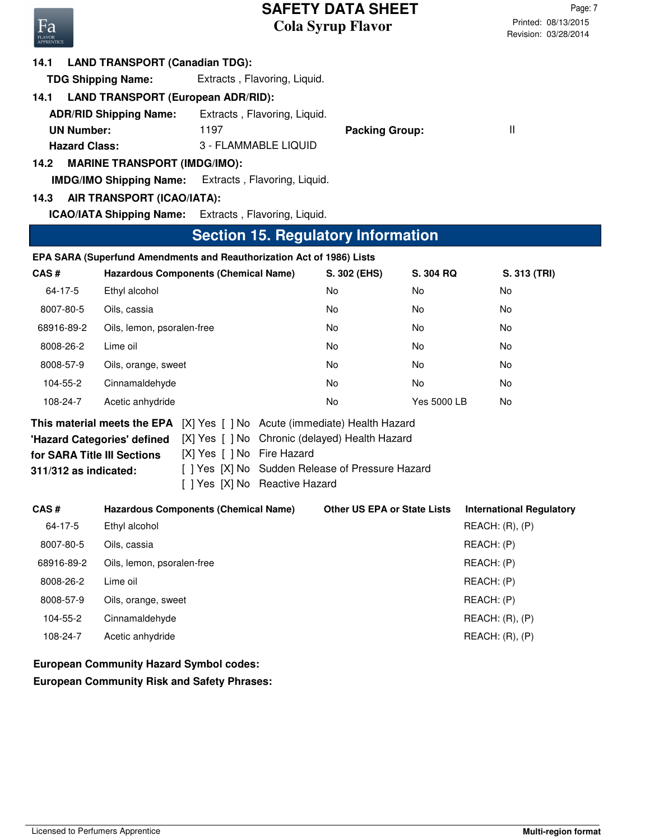Revision: 03/28/2014 Printed: 08/13/2015 Page: 7

# Fa

#### **14.1 LAND TRANSPORT (Canadian TDG):**

**TDG Shipping Name:** Extracts , Flavoring, Liquid.

## **14.1 LAND TRANSPORT (European ADR/RID):**

| <b>ADR/RID Shipping Name:</b> | Extracts, Flavoring, Liquid. |                       |  |
|-------------------------------|------------------------------|-----------------------|--|
| <b>UN Number:</b>             | 1197                         | <b>Packing Group:</b> |  |
| <b>Hazard Class:</b>          | 3 - FLAMMABLE LIQUID         |                       |  |

## **14.2 MARINE TRANSPORT (IMDG/IMO):**

**IMDG/IMO Shipping Name:** Extracts , Flavoring, Liquid.

## **14.3 AIR TRANSPORT (ICAO/IATA):**

**ICAO/IATA Shipping Name:** Extracts , Flavoring, Liquid.

## **Section 15. Regulatory Information**

|            | EPA SARA (Superfund Amendments and Reauthorization Act of 1986) Lists        |              |             |              |
|------------|------------------------------------------------------------------------------|--------------|-------------|--------------|
| CAS#       | <b>Hazardous Components (Chemical Name)</b>                                  | S. 302 (EHS) | S. 304 RQ   | S. 313 (TRI) |
| 64-17-5    | Ethyl alcohol                                                                | No           | No.         | No.          |
| 8007-80-5  | Oils, cassia                                                                 | No           | No.         | No           |
| 68916-89-2 | Oils, lemon, psoralen-free                                                   | No.          | No.         | No.          |
| 8008-26-2  | Lime oil                                                                     | No.          | No.         | No           |
| 8008-57-9  | Oils, orange, sweet                                                          | No           | No.         | No           |
| 104-55-2   | Cinnamaldehyde                                                               | No           | No.         | No.          |
| 108-24-7   | Acetic anhydride                                                             | No.          | Yes 5000 LB | No           |
|            | [X] Yes [] No Acute (immediate) Health Hazard<br>This material meets the EPA |              |             |              |
|            | [X] Yes [] No Chronic (delayed) Health Hazard<br>'Hazard Categories' defined |              |             |              |

| $\frac{1}{2}$ $\frac{1}{2}$ $\frac{1}{2}$ $\frac{1}{2}$ $\frac{1}{2}$ $\frac{1}{2}$ $\frac{1}{2}$ $\frac{1}{2}$ $\frac{1}{2}$ $\frac{1}{2}$ $\frac{1}{2}$ $\frac{1}{2}$ $\frac{1}{2}$ $\frac{1}{2}$ $\frac{1}{2}$ $\frac{1}{2}$ $\frac{1}{2}$ $\frac{1}{2}$ $\frac{1}{2}$ $\frac{1}{2}$ $\frac{1}{2}$ $\frac{1}{2}$ |                              |  |
|---------------------------------------------------------------------------------------------------------------------------------------------------------------------------------------------------------------------------------------------------------------------------------------------------------------------|------------------------------|--|
| for SARA Title III Sections                                                                                                                                                                                                                                                                                         | [X] Yes [] No Fire Hazard    |  |
| $311/312$ as indicated:                                                                                                                                                                                                                                                                                             | [ ] Yes [X] No Sudden Releas |  |

[ ] Yes [X] No Sudden Release of Pressure Hazard

[ ] Yes [X] No Reactive Hazard

| CAS#       | <b>Hazardous Components (Chemical Name)</b> | <b>Other US EPA or State Lists</b> | <b>International Regulatory</b> |
|------------|---------------------------------------------|------------------------------------|---------------------------------|
| 64-17-5    | Ethyl alcohol                               |                                    | REACH: (R), (P)                 |
| 8007-80-5  | Oils, cassia                                |                                    | REACH: (P)                      |
| 68916-89-2 | Oils, lemon, psoralen-free                  |                                    | REACH: (P)                      |
| 8008-26-2  | Lime oil                                    |                                    | REACH: (P)                      |
| 8008-57-9  | Oils, orange, sweet                         |                                    | REACH: (P)                      |
| 104-55-2   | Cinnamaldehyde                              |                                    | REACH: (R), (P)                 |
| 108-24-7   | Acetic anhydride                            |                                    | REACH: (R), (P)                 |
|            |                                             |                                    |                                 |

**European Community Risk and Safety Phrases: European Community Hazard Symbol codes:**